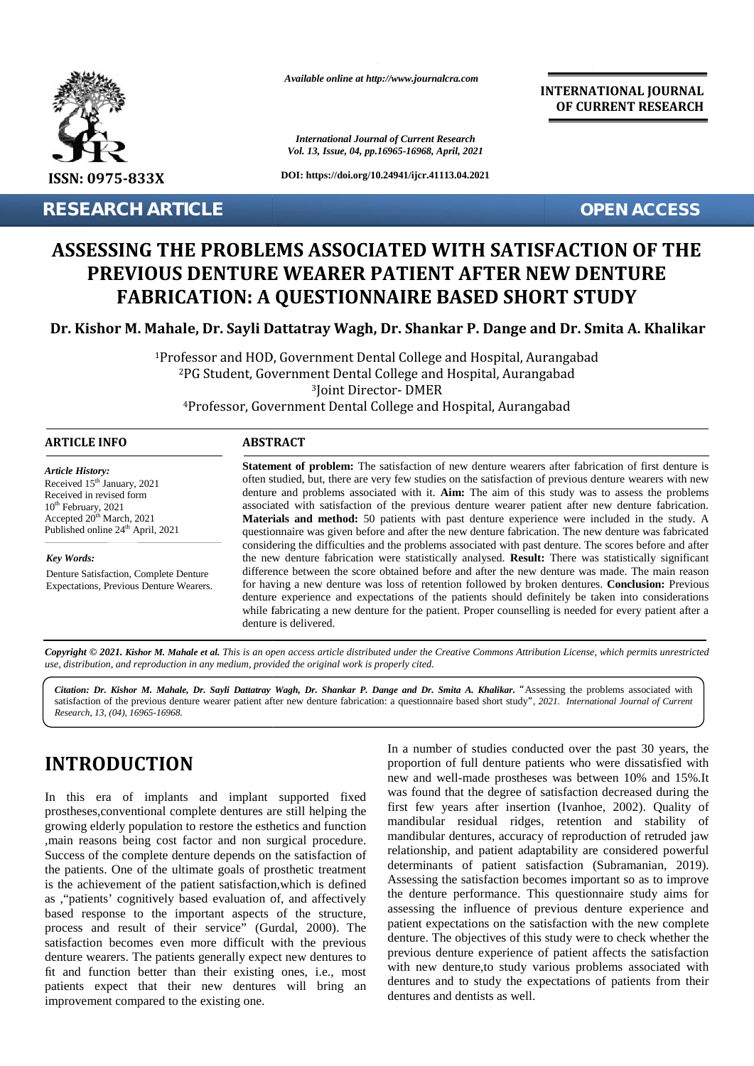

**RESEARCH ARTICLE OPEN ACCESS**

*Available online at http://www.journalcra.com*

*International Journal of Current Research Vol. 13, Issue, 04, pp.16965-16968, April, 2021*

**DOI: https://doi.org/10.24941/ijcr.41113.04.2021**

**INTERNATIONAL JOURNAL OF CURRENT RESEARCH**

# **ASSESSING THE PROBLEMS ASSOCIATED WITH SATISFACTION OF THE OF PREVIOUS DENTURE WEARER PATIENT AFTER NEW DENTURE FABRICATION: A QUESTIONNAIRE BASED SHORT STUDY QUESTIONNAIRE BASED SHORT ASSESSING THE PR<br>
PREVIOUS DEN<br>
FABRICATION<br>
Dr. Kishor M. Mahale, Dr.**<br>
<sup>1</sup>Professor a<br>
<sup>2</sup>PG Stu<br>
<sup>4</sup>Profes<br>
ARTICLE INFO<br>
Article History:<br>
Received 15<sup>th</sup> January, 2021<br>
Received in revised form<br>
10<sup>th</sup> February, 2021

Dr. Kishor M. Mahale, Dr. Sayli Dattatray Wagh, Dr. Shankar P. Dange and Dr. Smita A. Khalikar

Professor and HOD, Government Dental College and Hospital, Aurangabad PG Student, Government Dental College and Hospital, Aurangabad Joint Director- DMER Professor, Government Dental College and Hospital, Aurangabad 4Professor,Government AurangabadProfessor and HOD, Government Dental College and Hospi<br><sup>2</sup>PG Student, Government Dental College and Hospital, *i*<sup>3</sup>Joint Director- DMER

| <b>ARTICLE INFO</b> | <b>ABSTRACT</b> |
|---------------------|-----------------|
|---------------------|-----------------|

*Article History:* Received  $15<sup>th</sup>$  January, 2021 Received 15<sup>-</sup> January, 2021<br>Received in revised form  $10<sup>th</sup>$  February, 2021 Accepted  $20^{\text{th}}$  March, 2021 **M** Published online  $24<sup>th</sup>$  April, 2021 muary<br>ised fo<br>021<br>arch,<br>e 24<sup>th</sup><br>21. Ki,<br>**21. Ki,<br>Kisho**,<br>f the p<br>f (04), *I* 

*Key Words:*

Denture Satisfaction, Complete Denture Expectations, Previous Denture Wearers.

**Statement of problem:** The satisfaction of new denture wearers after fabrication of first denture is often studied, but, there are very few studies on the satisfaction of previous denture wearers with new often studied, but, there are very few studies on the satisfaction of previous denture wearers with new denture and problems associated with it. **Aim:** The aim of this study was to assess the problems associated with satisfaction of the previous denture wearer patient after new denture fabrication. **Materials and method:** 50 patients with past denture experience were included in the study. A questionnaire was given before and after the new denture fabrication. The new denture was fabricated considering the difficulties and the problems associated with past denture. The scores before and after the new denture fabrication were statistically analysed. **Result:** There was statistically significant difference between the score obtained before and after the new denture was made. The main reason for having a new denture was loss of retention followed by broken dentures. **Conclusion:** Previous denture experience and expectations of the patients should definitely be taken into considerations while fabricating a new denture for the patient. Proper counselling is needed for every patient after a denture is delivered. questionnaire was given before and after the new denture fabrication. The new denture was considering the difficulties and the problems associated with past denture. The scores before the new denture fabrication were stati **STAN THE SECURE SECURE SECURE SECURE SECURE SECURE SECURE SECURE SECURE SECURE SECURE SECURE SECURE SECURE SECURE SECURE SECURE SECURE SECURE SECURE SECURE SECURE SECURE SECURE SECURE SECURE SECURE SECURE SECURE SECURE SE** 

**Copyright © 2021. Kishor M. Mahale et al.** This is an open access article distributed under the Creative Commons Attribution License, which permits unrestricted<br>use, distribution, and reproduction in any medium, provided *use, distribution, and reproduction in any medium, provided the original work is properly cited.*

*Citation: Dr. Kishor M. Mahale, Dr. Sayli Dattatray Wagh, Dr. Shankar P. Dange and Dr. Smita A. Khalikar. "*Assessing the problems associated with Citation: Dr. Kishor M. Mahale, Dr. Sayli Dattatray Wagh, Dr. Shankar P. Dange and Dr. Smita A. Khalikar. "Assessing the problems associated with<br>satisfaction of the previous denture wearer patient after new denture fabric *Research, 13, (04), 16965-16968.*

## **INTRODUCTION INTRODUCTION**

In this era of implants and implant supported fixed prostheses,conventional complete dentures are still helping the growing elderly population to restore the esthetics and function mand ,main reasons being cost factor and non surgical procedure. Success of the complete denture depends on the satisfaction of Success of the complete denture depends on the satisfaction of<br>the patients. One of the ultimate goals of prosthetic treatment is the achievement of the patient satisfaction, which is defined  $\frac{P_{\text{P}}}{P_{\text{S}}}$ as , "patients' cognitively based evaluation of, and affectively line based response to the important aspects of the structure, process and result of their service" (Gurdal, 2000). The paul satisfaction becomes even more difficult with the previous satisfaction becomes even more difficult with the previous<br>denture wearers. The patients generally expect new dentures to fit and function better than their existing ones, i.e., most patients expect that their new dentures will bring an dentum dentum dentum dentum dentum dentum dentum dentum dentum dentum dentum dentum dentum dentum dentum dentum dentum dentum dentum dentum dentum dentum dentum dentum improvement compared to the existing one. In this era of implants and implant supported fixed<br>prostheses, conventional complete dentures are still helping the<br>growing elderly population to restore the esthetics and function<br>,main reasons being cost factor and non *Dr. Sayli Dattatray Wagh, Dr. Shankar P. Dange and Dr. Smita A. Khalikar.* "*P*<br>
re wearer patient after new denture fabrication: a questionnaire based short study<br>
in a number of studies con<br>
proportion of full denture p

In a number of studies conducted over the past 30 years, the proportion of full denture patients who were dissatisfied with new and well-made prostheses was between 10% and 15%.It was found that the degree of satisfaction decreased during the first few years after insertion (Ivanhoe, 2002). Quality of mandibular residual ridges, retention and stability of mandibular dentures, accuracy of reproduction of retruded jaw relationship, and patient adaptability are considered powerful determinants of patient satisfaction (Subramanian, 2019). Assessing the satisfaction becomes important so as to improve the denture performance. This questionnaire study aims for assessing the influence of previous denture experience and patient expectations on the satisfaction with the new complete denture. The objectives of this study were to check whether the previous denture experience of patient affects the satisfaction with new denture, to study various problems associated with dentures and to study the expectations of patients from their dentures and dentists as well.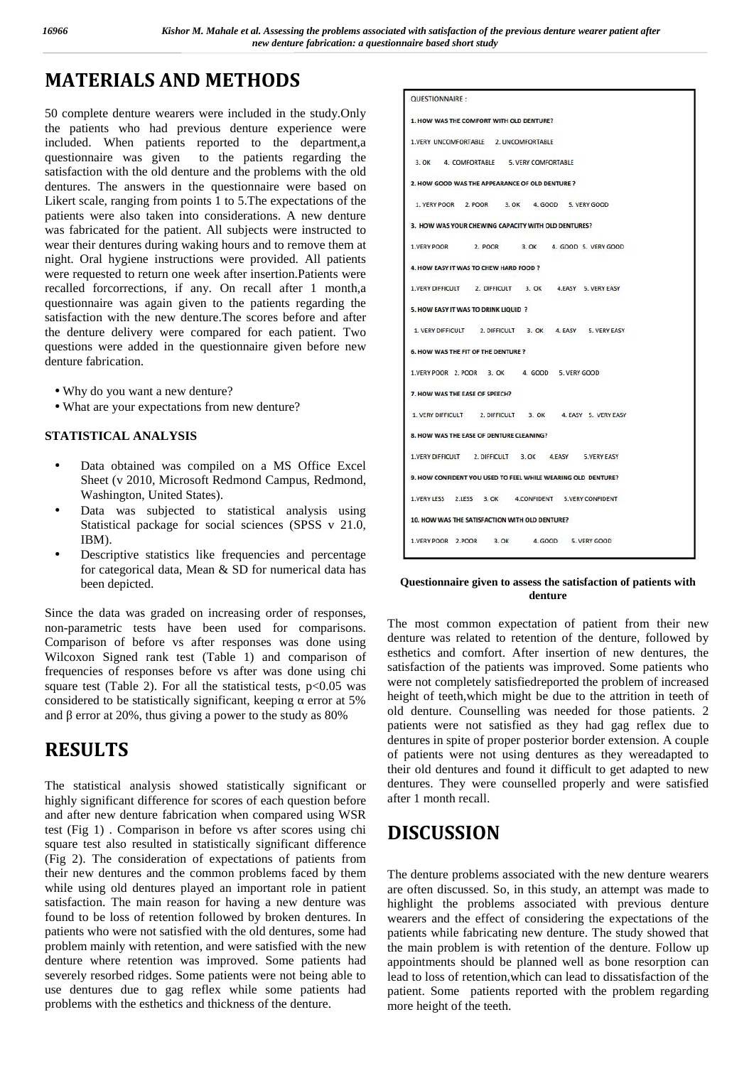## **MATERIALS AND METHODS**

50 complete denture wearers were included in the study.Only the patients who had previous denture experience were included. When patients reported to the department,a questionnaire was given to the patients regarding the satisfaction with the old denture and the problems with the old dentures. The answers in the questionnaire were based on Likert scale, ranging from points 1 to 5.The expectations of the patients were also taken into considerations. A new denture was fabricated for the patient. All subjects were instructed to wear their dentures during waking hours and to remove them at night. Oral hygiene instructions were provided. All patients were requested to return one week after insertion.Patients were recalled forcorrections, if any. On recall after 1 month,a questionnaire was again given to the patients regarding the satisfaction with the new denture.The scores before and after the denture delivery were compared for each patient. Two questions were added in the questionnaire given before new denture fabrication.

Why do you want a new denture?

What are your expectations from new denture?

### **STATISTICAL ANALYSIS**

- Data obtained was compiled on a MS Office Excel Sheet (v 2010, Microsoft Redmond Campus, Redmond, Washington, United States).
- Data was subjected to statistical analysis using Statistical package for social sciences (SPSS v 21.0, IBM).
- Descriptive statistics like frequencies and percentage for categorical data, Mean & SD for numerical data has been depicted.

Since the data was graded on increasing order of responses, non-parametric tests have been used for comparisons. Comparison of before vs after responses was done using Wilcoxon Signed rank test (Table 1) and comparison of frequencies of responses before vs after was done using chi square test (Table 2). For all the statistical tests,  $p<0.05$  was considered to be statistically significant, keeping error at 5% and error at 20%, thus giving a power to the study as 80%

## **RESULTS**

The statistical analysis showed statistically significant or highly significant difference for scores of each question before and after new denture fabrication when compared using WSR test (Fig 1) . Comparison in before vs after scores using chi square test also resulted in statistically significant difference (Fig 2). The consideration of expectations of patients from their new dentures and the common problems faced by them while using old dentures played an important role in patient satisfaction. The main reason for having a new denture was found to be loss of retention followed by broken dentures. In patients who were not satisfied with the old dentures, some had problem mainly with retention, and were satisfied with the new denture where retention was improved. Some patients had severely resorbed ridges. Some patients were not being able to use dentures due to gag reflex while some patients had problems with the esthetics and thickness of the denture.

| <b>QUESTIONNAIRE:</b>                                        |  |  |  |  |  |  |
|--------------------------------------------------------------|--|--|--|--|--|--|
| 1. HOW WAS THE COMFORT WITH OLD DENTURE?                     |  |  |  |  |  |  |
| 1.VERY UNCOMFORTABLE 2. UNCOMFORTABLE                        |  |  |  |  |  |  |
| 3. OK 4. COMFORTABLE 5. VERY COMFORTABLE                     |  |  |  |  |  |  |
| 2. HOW GOOD WAS THE APPEARANCE OF OLD DENTURE ?              |  |  |  |  |  |  |
| 1. VERY POOR 2. POOR 3. OK 4. GOOD 5. VERY GOOD              |  |  |  |  |  |  |
| 3. HOW WAS YOUR CHEWING CAPACITY WITH OLD DENTURES?          |  |  |  |  |  |  |
| 1.VERY POOR 2. POOR 3. OK 4. GOOD 5. VERY GOOD               |  |  |  |  |  |  |
| 4. HOW EASY IT WAS TO CHEW HARD FOOD ?                       |  |  |  |  |  |  |
| 1.VERY DIFFICULT 2. DIFFICULT 3. OK 4.EASY 5. VERY EASY      |  |  |  |  |  |  |
| 5. HOW EASY IT WAS TO DRINK LIQUID ?                         |  |  |  |  |  |  |
| 1. VERY DIFFICULT 2. DIFFICULT 3. OK 4. EASY 5. VERY EASY    |  |  |  |  |  |  |
| 6. HOW WAS THE FIT OF THE DENTURE ?                          |  |  |  |  |  |  |
| 1.VERY POOR 2. POOR 3. OK 4. GOOD 5. VERY GOOD               |  |  |  |  |  |  |
| 7. HOW WAS THE EASE OF SPEECH?                               |  |  |  |  |  |  |
| 1. VERY DIFFICULT 2. DIFFICULT 3. OK 4. EASY 5. VERY EASY    |  |  |  |  |  |  |
| 8. HOW WAS THE EASE OF DENTURE CLEANING?                     |  |  |  |  |  |  |
| 1.VERY DIFFICULT 2. DIFFICULT 3. OK 4.EASY 5.VERY EASY       |  |  |  |  |  |  |
| 9. HOW CONFIDENT YOU USED TO FEEL WHILE WEARING OLD DENTURE? |  |  |  |  |  |  |
| 1.VERY LESS 2.LESS 3. OK 4. CONFIDENT 5.VERY CONFIDENT       |  |  |  |  |  |  |
| 10. HOW WAS THE SATISFACTION WITH OLD DENTURE?               |  |  |  |  |  |  |
| 1.VERY POOR 2.POOR 3. OK 4. GOOD 5. VERY GOOD                |  |  |  |  |  |  |
|                                                              |  |  |  |  |  |  |

**Questionnaire given to assess the satisfaction of patients with denture**

The most common expectation of patient from their new denture was related to retention of the denture, followed by esthetics and comfort. After insertion of new dentures, the satisfaction of the patients was improved. Some patients who were not completely satisfiedreported the problem of increased height of teeth,which might be due to the attrition in teeth of old denture. Counselling was needed for those patients. 2 patients were not satisfied as they had gag reflex due to dentures in spite of proper posterior border extension. A couple of patients were not using dentures as they wereadapted to their old dentures and found it difficult to get adapted to new dentures. They were counselled properly and were satisfied after 1 month recall.

## **DISCUSSION**

The denture problems associated with the new denture wearers are often discussed. So, in this study, an attempt was made to highlight the problems associated with previous denture wearers and the effect of considering the expectations of the patients while fabricating new denture. The study showed that the main problem is with retention of the denture. Follow up appointments should be planned well as bone resorption can lead to loss of retention,which can lead to dissatisfaction of the patient. Some patients reported with the problem regarding more height of the teeth.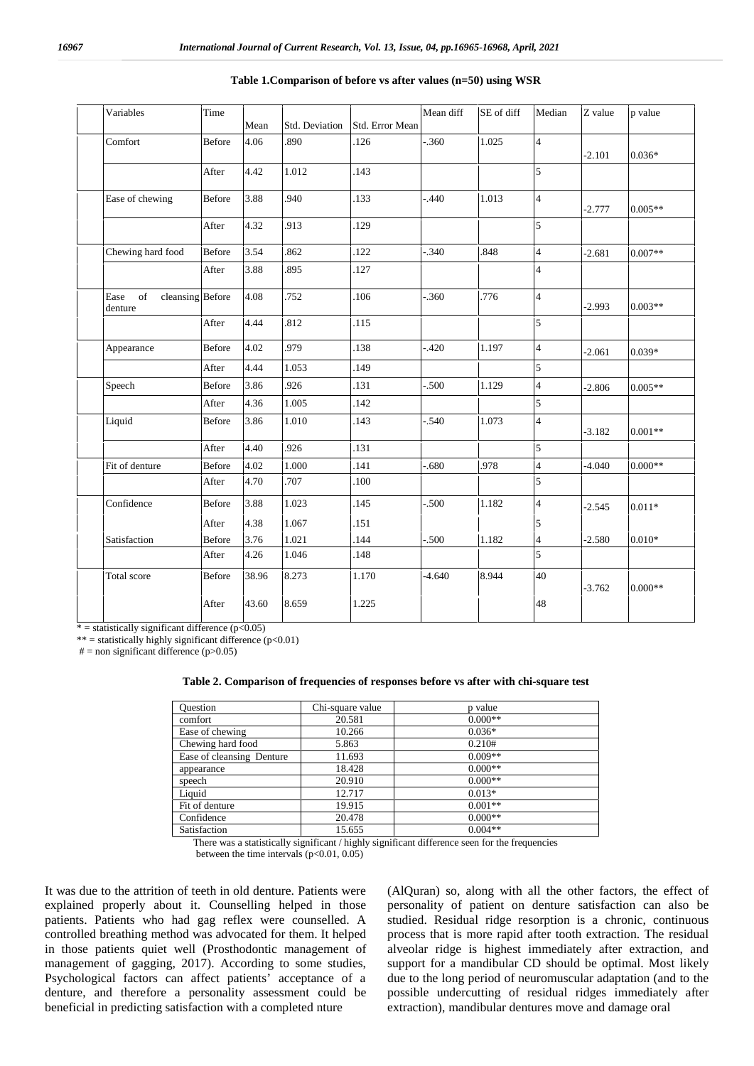| Variables                                 | Time          | Mean  | Std. Deviation | Std. Error Mean | Mean diff | SE of diff | Median                  | Z value  | p value   |
|-------------------------------------------|---------------|-------|----------------|-----------------|-----------|------------|-------------------------|----------|-----------|
| Comfort                                   | <b>Before</b> | 4.06  | .890           | .126            | $-360$    |            | $\overline{4}$          |          |           |
|                                           |               |       |                |                 |           | 1.025      |                         | $-2.101$ | $0.036*$  |
|                                           | After         | 4.42  | 1.012          | .143            |           |            | 5                       |          |           |
| Ease of chewing                           | <b>Before</b> | 3.88  | .940           | .133            | $-0.440$  | 1.013      | $\overline{4}$          | $-2.777$ | $0.005**$ |
|                                           | After         | 4.32  | .913           | .129            |           |            | 5                       |          |           |
| Chewing hard food                         | <b>Before</b> | 3.54  | .862           | .122            | $-340$    | .848       | $\overline{\mathbf{4}}$ | $-2.681$ | $0.007**$ |
|                                           | After         | 3.88  | .895           | .127            |           |            | $\overline{\mathbf{4}}$ |          |           |
| cleansing Before<br>of<br>Ease<br>denture |               | 4.08  | .752           | .106            | $-0.360$  | .776       | $\overline{4}$          | $-2.993$ | $0.003**$ |
|                                           | After         | 4.44  | .812           | .115            |           |            | $\overline{5}$          |          |           |
| Appearance                                | <b>Before</b> | 4.02  | .979           | .138            | $-420$    | 1.197      | $\overline{4}$          | $-2.061$ | $0.039*$  |
|                                           | After         | 4.44  | 1.053          | .149            |           |            | 5                       |          |           |
| Speech                                    | <b>Before</b> | 3.86  | .926           | .131            | $-500$    | 1.129      | $\overline{4}$          | $-2.806$ | $0.005**$ |
|                                           | After         | 4.36  | 1.005          | .142            |           |            | 5                       |          |           |
| Liquid                                    | <b>Before</b> | 3.86  | 1.010          | .143            | $-0.540$  | 1.073      | $\overline{4}$          | $-3.182$ | $0.001**$ |
|                                           | After         | 4.40  | .926           | .131            |           |            | 5                       |          |           |
| Fit of denture                            | Before        | 4.02  | 1.000          | .141            | $-680$    | .978       | $\overline{4}$          | $-4.040$ | $0.000**$ |
|                                           | After         | 4.70  | .707           | .100            |           |            | 5                       |          |           |
| Confidence                                | <b>Before</b> | 3.88  | 1.023          | .145            | $-500$    | 1.182      | $\overline{4}$          | $-2.545$ | $0.011*$  |
|                                           | After         | 4.38  | 1.067          | .151            |           |            | 5                       |          |           |
| Satisfaction                              | Before        | 3.76  | 1.021          | .144            | $-500$    | 1.182      | $\overline{\mathbf{4}}$ | $-2.580$ | $0.010*$  |
|                                           | After         | 4.26  | 1.046          | .148            |           |            | 5                       |          |           |
| Total score                               | <b>Before</b> | 38.96 | 8.273          | 1.170           | $-4.640$  | 8.944      | 40                      | $-3.762$ | $0.000**$ |
|                                           | After         | 43.60 | 8.659          | 1.225           |           |            | 48                      |          |           |

#### **Table 1.Comparison of before vs after values (n=50) using WSR**

 $* =$  statistically significant difference (p<0.05) \*\* = statistically highly significant difference  $(p<0.01)$ 

 $# =$  non significant difference (p $>0.05$ )

#### **Table 2. Comparison of frequencies of responses before vs after with chi-square test**

| <b>Ouestion</b>           | Chi-square value | p value   |
|---------------------------|------------------|-----------|
| comfort                   | 20.581           | $0.000**$ |
| Ease of chewing           | 10.266           | $0.036*$  |
| Chewing hard food         | 5.863            | 0.210#    |
| Ease of cleansing Denture | 11.693           | $0.009**$ |
| appearance                | 18.428           | $0.000**$ |
| speech                    | 20.910           | $0.000**$ |
| Liquid                    | 12.717           | $0.013*$  |
| Fit of denture            | 19.915           | $0.001**$ |
| Confidence                | 20.478           | $0.000**$ |
| Satisfaction              | 15.655           | $0.004**$ |

There was a statistically significant / highly significant difference seen for the frequencies between the time intervals  $(p<0.01, 0.05)$ 

It was due to the attrition of teeth in old denture. Patients were explained properly about it. Counselling helped in those patients. Patients who had gag reflex were counselled. A controlled breathing method was advocated for them. It helped in those patients quiet well (Prosthodontic management of management of gagging, 2017). According to some studies, Psychological factors can affect patients' acceptance of a denture, and therefore a personality assessment could be beneficial in predicting satisfaction with a completed nture

(AlQuran) so, along with all the other factors, the effect of personality of patient on denture satisfaction can also be studied. Residual ridge resorption is a chronic, continuous process that is more rapid after tooth extraction. The residual alveolar ridge is highest immediately after extraction, and support for a mandibular CD should be optimal. Most likely due to the long period of neuromuscular adaptation (and to the possible undercutting of residual ridges immediately after extraction), mandibular dentures move and damage oral